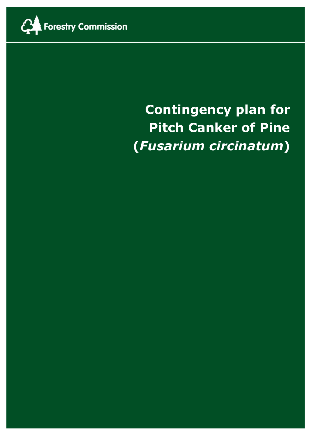

# **Contingency plan for Pitch Canker of Pine (***Fusarium circinatum***)**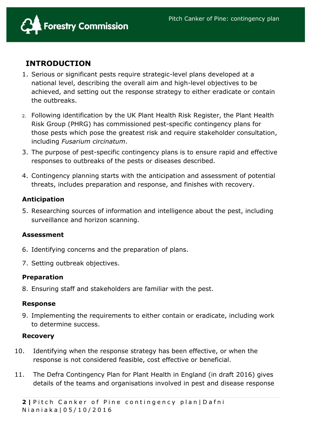

# **INTRODUCTION**

- 1. Serious or significant pests require strategic-level plans developed at a national level, describing the overall aim and high-level objectives to be achieved, and setting out the response strategy to either eradicate or contain the outbreaks.
- 2. Following identification by the UK Plant Health Risk Register, the Plant Health Risk Group (PHRG) has commissioned pest-specific contingency plans for those pests which pose the greatest risk and require stakeholder consultation, including *Fusarium circinatum*.
- 3. The purpose of pest-specific contingency plans is to ensure rapid and effective responses to outbreaks of the pests or diseases described.
- 4. Contingency planning starts with the anticipation and assessment of potential threats, includes preparation and response, and finishes with recovery.

## **Anticipation**

5. Researching sources of information and intelligence about the pest, including surveillance and horizon scanning.

#### **Assessment**

- 6. Identifying concerns and the preparation of plans.
- 7. Setting outbreak objectives.

#### **Preparation**

8. Ensuring staff and stakeholders are familiar with the pest.

#### **Response**

9. Implementing the requirements to either contain or eradicate, including work to determine success.

#### **Recovery**

- 10. Identifying when the response strategy has been effective, or when the response is not considered feasible, cost effective or beneficial.
- 11. The Defra Contingency Plan for Plant Health in England (in draft 2016) gives details of the teams and organisations involved in pest and disease response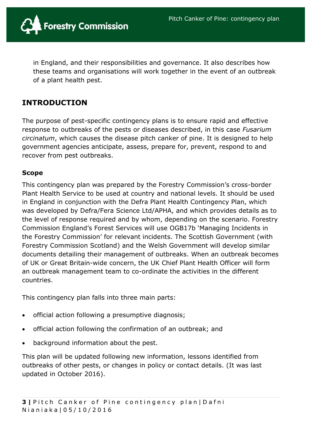

in England, and their responsibilities and governance. It also describes how these teams and organisations will work together in the event of an outbreak of a plant health pest.

# **INTRODUCTION**

The purpose of pest-specific contingency plans is to ensure rapid and effective response to outbreaks of the pests or diseases described, in this case *Fusarium circinatum*, which causes the disease pitch canker of pine. It is designed to help government agencies anticipate, assess, prepare for, prevent, respond to and recover from pest outbreaks.

#### **Scope**

This contingency plan was prepared by the Forestry Commission's cross-border Plant Health Service to be used at country and national levels. It should be used in England in conjunction with the Defra Plant Health Contingency Plan, which was developed by Defra/Fera Science Ltd/APHA, and which provides details as to the level of response required and by whom, depending on the scenario. Forestry Commission England's Forest Services will use OGB17b 'Managing Incidents in the Forestry Commission' for relevant incidents. The Scottish Government (with Forestry Commission Scotland) and the Welsh Government will develop similar documents detailing their management of outbreaks. When an outbreak becomes of UK or Great Britain-wide concern, the UK Chief Plant Health Officer will form an outbreak management team to co-ordinate the activities in the different countries.

This contingency plan falls into three main parts:

- official action following a presumptive diagnosis;
- official action following the confirmation of an outbreak; and
- background information about the pest.

This plan will be updated following new information, lessons identified from outbreaks of other pests, or changes in policy or contact details. (It was last updated in October 2016).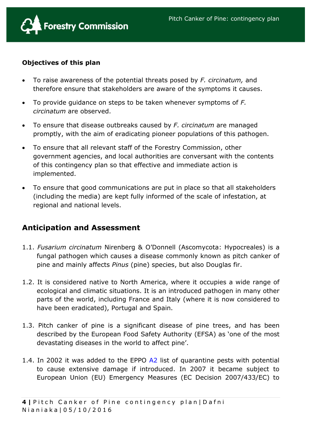

## **Objectives of this plan**

- To raise awareness of the potential threats posed by *F. circinatum,* and therefore ensure that stakeholders are aware of the symptoms it causes.
- To provide guidance on steps to be taken whenever symptoms of *F. circinatum* are observed.
- To ensure that disease outbreaks caused by *F. circinatum* are managed promptly, with the aim of eradicating pioneer populations of this pathogen.
- To ensure that all relevant staff of the Forestry Commission, other government agencies, and local authorities are conversant with the contents of this contingency plan so that effective and immediate action is implemented.
- To ensure that good communications are put in place so that all stakeholders (including the media) are kept fully informed of the scale of infestation, at regional and national levels.

# **Anticipation and Assessment**

- 1.1. *Fusarium circinatum* Nirenberg & O'Donnell (Ascomycota: Hypocreales) is a fungal pathogen which causes a disease commonly known as pitch canker of pine and mainly affects *Pinus* (pine) species, but also Douglas fir.
- 1.2. It is considered native to North America, where it occupies a wide range of ecological and climatic situations. It is an introduced pathogen in many other parts of the world, including France and Italy (where it is now considered to have been eradicated), Portugal and Spain.
- 1.3. Pitch canker of pine is a significant disease of pine trees, and has been described by the European Food Safety Authority (EFSA) as 'one of the most devastating diseases in the world to affect pine'.
- 1.4. In 2002 it was added to the EPPO [A2](http://www.eppo.int/QUARANTINE/listA2.htm) list of quarantine pests with potential to cause extensive damage if introduced. In 2007 it became subject to European Union (EU) Emergency Measures (EC Decision 2007/433/EC) to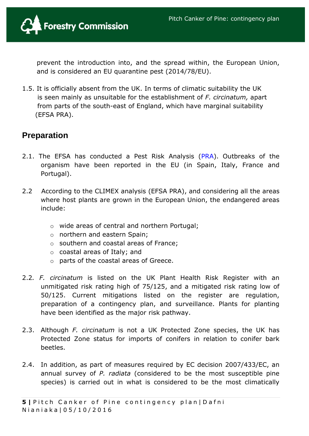

prevent the introduction into, and the spread within, the European Union, and is considered an EU quarantine pest (2014/78/EU).

1.5. It is officially absent from the UK. In terms of climatic suitability the UK is seen mainly as unsuitable for the establishment of *F. circinatum,* apart from parts of the south-east of England, which have marginal suitability (EFSA PRA).

# **Preparation**

- 2.1. The EFSA has conducted a Pest Risk Analysis [\(PRA\)](http://www.efsa.europa.eu/en/efsajournal/doc/1620.pdf). Outbreaks of the organism have been reported in the EU (in Spain, Italy, France and Portugal).
- 2.2 According to the CLIMEX analysis (EFSA PRA), and considering all the areas where host plants are grown in the European Union, the endangered areas include:
	- o wide areas of central and northern Portugal;
	- o northern and eastern Spain;
	- o southern and coastal areas of France;
	- o coastal areas of Italy; and
	- o parts of the coastal areas of Greece.
- 2.2*. F. circinatum* is listed on the UK Plant Health Risk Register with an unmitigated risk rating high of 75/125, and a mitigated risk rating low of 50/125. Current mitigations listed on the register are regulation, preparation of a contingency plan, and surveillance. Plants for planting have been identified as the major risk pathway.
- 2.3. Although *F. circinatum* is not a UK Protected Zone species, the UK has Protected Zone status for imports of conifers in relation to conifer bark beetles.
- 2.4. In addition, as part of measures required by EC decision 2007/433/EC, an annual survey of *P. radiata* (considered to be the most susceptible pine species) is carried out in what is considered to be the most climatically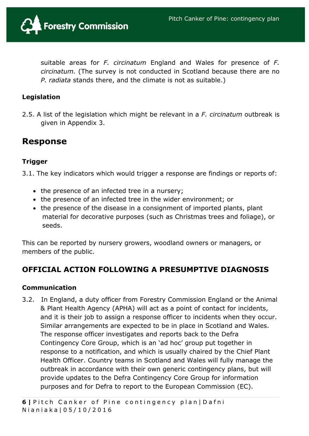

suitable areas for *F. circinatum* England and Wales for presence of *F. circinatum.* (The survey is not conducted in Scotland because there are no *P. radiata* stands there, and the climate is not as suitable.)

#### **Legislation**

2.5. A list of the legislation which might be relevant in a *F. circinatum* outbreak is given in Appendix 3.

# **Response**

## **Trigger**

3.1. The key indicators which would trigger a response are findings or reports of:

- the presence of an infected tree in a nursery;
- the presence of an infected tree in the wider environment; or
- the presence of the disease in a consignment of imported plants, plant material for decorative purposes (such as Christmas trees and foliage), or seeds.

This can be reported by nursery growers, woodland owners or managers, or members of the public.

# **OFFICIAL ACTION FOLLOWING A PRESUMPTIVE DIAGNOSIS**

#### **Communication**

3.2. In England, a duty officer from Forestry Commission England or the Animal & Plant Health Agency (APHA) will act as a point of contact for incidents, and it is their job to assign a response officer to incidents when they occur. Similar arrangements are expected to be in place in Scotland and Wales. The response officer investigates and reports back to the Defra Contingency Core Group, which is an 'ad hoc' group put together in response to a notification, and which is usually chaired by the Chief Plant Health Officer. Country teams in Scotland and Wales will fully manage the outbreak in accordance with their own generic contingency plans, but will provide updates to the Defra Contingency Core Group for information purposes and for Defra to report to the European Commission (EC).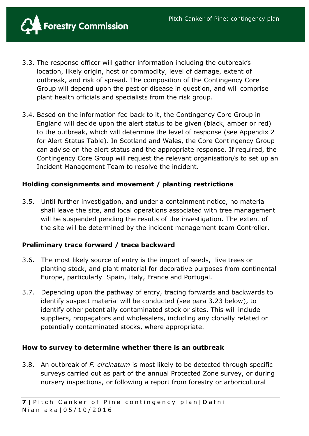

- 3.3. The response officer will gather information including the outbreak's location, likely origin, host or commodity, level of damage, extent of outbreak, and risk of spread. The composition of the Contingency Core Group will depend upon the pest or disease in question, and will comprise plant health officials and specialists from the risk group.
- 3.4. Based on the information fed back to it, the Contingency Core Group in England will decide upon the alert status to be given (black, amber or red) to the outbreak, which will determine the level of response (see Appendix 2 for Alert Status Table). In Scotland and Wales, the Core Contingency Group can advise on the alert status and the appropriate response. If required, the Contingency Core Group will request the relevant organisation/s to set up an Incident Management Team to resolve the incident.

#### **Holding consignments and movement / planting restrictions**

3.5. Until further investigation, and under a containment notice, no material shall leave the site, and local operations associated with tree management will be suspended pending the results of the investigation. The extent of the site will be determined by the incident management team Controller.

#### **Preliminary trace forward / trace backward**

- 3.6. The most likely source of entry is the import of seeds, live trees or planting stock, and plant material for decorative purposes from continental Europe, particularly Spain, Italy, France and Portugal.
- 3.7. Depending upon the pathway of entry, tracing forwards and backwards to identify suspect material will be conducted (see para 3.23 below), to identify other potentially contaminated stock or sites. This will include suppliers, propagators and wholesalers, including any clonally related or potentially contaminated stocks, where appropriate.

#### **How to survey to determine whether there is an outbreak**

3.8. An outbreak of *F. circinatum* is most likely to be detected through specific surveys carried out as part of the annual Protected Zone survey, or during nursery inspections, or following a report from forestry or arboricultural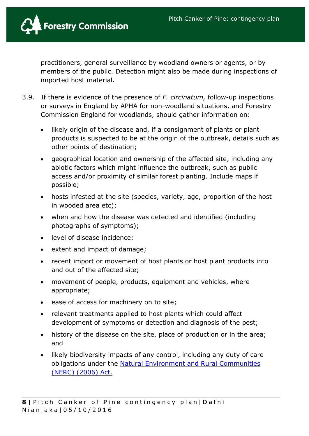

practitioners, general surveillance by woodland owners or agents, or by members of the public. Detection might also be made during inspections of imported host material.

- 3.9. If there is evidence of the presence of *F. circinatum,* follow-up inspections or surveys in England by APHA for non-woodland situations, and Forestry Commission England for woodlands, should gather information on:
	- likely origin of the disease and, if a consignment of plants or plant products is suspected to be at the origin of the outbreak, details such as other points of destination;
	- geographical location and ownership of the affected site, including any abiotic factors which might influence the outbreak, such as public access and/or proximity of similar forest planting. Include maps if possible;
	- hosts infested at the site (species, variety, age, proportion of the host in wooded area etc);
	- when and how the disease was detected and identified (including photographs of symptoms);
	- level of disease incidence;
	- extent and impact of damage;
	- recent import or movement of host plants or host plant products into and out of the affected site;
	- movement of people, products, equipment and vehicles, where appropriate;
	- ease of access for machinery on to site;
	- relevant treatments applied to host plants which could affect development of symptoms or detection and diagnosis of the pest;
	- history of the disease on the site, place of production or in the area; and
	- likely biodiversity impacts of any control, including any duty of care obligations under the [Natural Environment and Rural Communities](http://www.legislation.gov.uk/ukpga/2006/16/contents)  (NERC) [\(2006\) Act.](http://www.legislation.gov.uk/ukpga/2006/16/contents)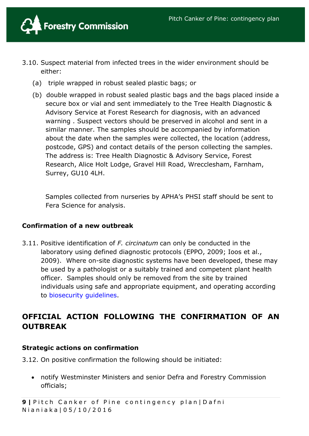

- 3.10. Suspect material from infected trees in the wider environment should be either:
	- (a) triple wrapped in robust sealed plastic bags; or
	- (b) double wrapped in robust sealed plastic bags and the bags placed inside a secure box or vial and sent immediately to the Tree Health Diagnostic & Advisory Service at Forest Research for diagnosis, with an advanced warning . Suspect vectors should be preserved in alcohol and sent in a similar manner. The samples should be accompanied by information about the date when the samples were collected, the location (address, postcode, GPS) and contact details of the person collecting the samples. The address is: Tree Health Diagnostic & Advisory Service, Forest Research, Alice Holt Lodge, Gravel Hill Road, Wrecclesham, Farnham, Surrey, GU10 4LH.

 Samples collected from nurseries by APHA's PHSI staff should be sent to Fera Science for analysis.

#### **Confirmation of a new outbreak**

3.11. Positive identification of *F. circinatum* can only be conducted in the laboratory using defined diagnostic protocols (EPPO, 2009; Ioos et al., 2009). Where on-site diagnostic systems have been developed, these may be used by a pathologist or a suitably trained and competent plant health officer. Samples should only be removed from the site by trained individuals using safe and appropriate equipment, and operating according to [biosecurity guidelines.](http://www.forestry.gov.uk/england-keepitclean)

# **OFFICIAL ACTION FOLLOWING THE CONFIRMATION OF AN OUTBREAK**

#### **Strategic actions on confirmation**

3.12. On positive confirmation the following should be initiated:

 notify Westminster Ministers and senior Defra and Forestry Commission officials;

**9** | Pitch Canker of Pine contingency plan | Dafni Nianiaka | 05/10/2016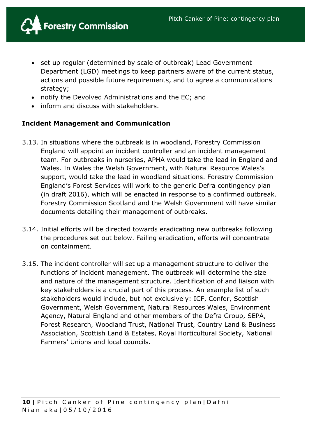

- set up regular (determined by scale of outbreak) Lead Government Department (LGD) meetings to keep partners aware of the current status, actions and possible future requirements, and to agree a communications strategy;
- notify the Devolved Administrations and the EC; and
- inform and discuss with stakeholders.

#### **Incident Management and Communication**

- 3.13. In situations where the outbreak is in woodland, Forestry Commission England will appoint an incident controller and an incident management team. For outbreaks in nurseries, APHA would take the lead in England and Wales. In Wales the Welsh Government, with Natural Resource Wales's support, would take the lead in woodland situations. Forestry Commission England's Forest Services will work to the generic Defra contingency plan (in draft 2016), which will be enacted in response to a confirmed outbreak. Forestry Commission Scotland and the Welsh Government will have similar documents detailing their management of outbreaks.
- 3.14. Initial efforts will be directed towards eradicating new outbreaks following the procedures set out below. Failing eradication, efforts will concentrate on containment.
- 3.15. The incident controller will set up a management structure to deliver the functions of incident management. The outbreak will determine the size and nature of the management structure. Identification of and liaison with key stakeholders is a crucial part of this process. An example list of such stakeholders would include, but not exclusively: ICF, Confor, Scottish Government, Welsh Government, Natural Resources Wales, Environment Agency, Natural England and other members of the Defra Group, SEPA, Forest Research, Woodland Trust, National Trust, Country Land & Business Association, Scottish Land & Estates, Royal Horticultural Society, National Farmers' Unions and local councils.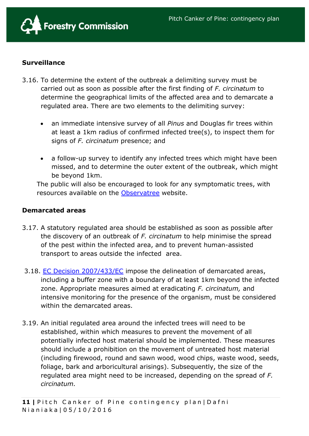

## **Surveillance**

- 3.16. To determine the extent of the outbreak a delimiting survey must be carried out as soon as possible after the first finding of *F. circinatum* to determine the geographical limits of the affected area and to demarcate a regulated area. There are two elements to the delimiting survey:
	- an immediate intensive survey of all *Pinus* and Douglas fir trees within at least a 1km radius of confirmed infected tree(s), to inspect them for signs of *F. circinatum* presence; and
	- a follow-up survey to identify any infected trees which might have been missed, and to determine the outer extent of the outbreak, which might be beyond 1km.

The public will also be encouraged to look for any symptomatic trees, with resources available on the [Observatree](http://www.observatree.org.uk/) website.

#### **Demarcated areas**

- 3.17. A statutory regulated area should be established as soon as possible after the discovery of an outbreak of *F. circinatum* to help minimise the spread of the pest within the infected area, and to prevent human-assisted transport to areas outside the infected area.
- 3.18. [EC Decision 2007/433/EC](http://www.eppo.int/ABOUT_EPPO/EPPO_MEMBERS/phytoreg/eu_texts/2007-433-EC-e.pdf) impose the delineation of demarcated areas, including a buffer zone with a boundary of at least 1km beyond the infected zone. Appropriate measures aimed at eradicating *F. circinatum,* and intensive monitoring for the presence of the organism, must be considered within the demarcated areas.
- 3.19. An initial regulated area around the infected trees will need to be established, within which measures to prevent the movement of all potentially infected host material should be implemented. These measures should include a prohibition on the movement of untreated host material (including firewood, round and sawn wood, wood chips, waste wood, seeds, foliage, bark and arboricultural arisings). Subsequently, the size of the regulated area might need to be increased, depending on the spread of *F. circinatum.*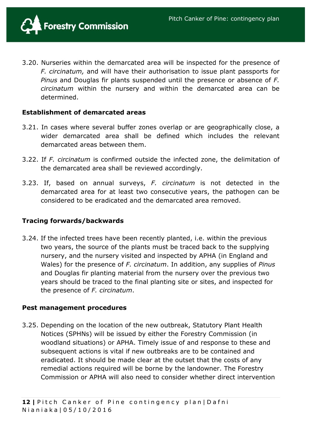

3.20. Nurseries within the demarcated area will be inspected for the presence of *F. circinatum,* and will have their authorisation to issue plant passports for *Pinus* and Douglas fir plants suspended until the presence or absence of *F. circinatum* within the nursery and within the demarcated area can be determined.

#### **Establishment of demarcated areas**

- 3.21. In cases where several buffer zones overlap or are geographically close, a wider demarcated area shall be defined which includes the relevant demarcated areas between them.
- 3.22. If *F. circinatum* is confirmed outside the infected zone, the delimitation of the demarcated area shall be reviewed accordingly.
- 3.23. If, based on annual surveys, *F. circinatum* is not detected in the demarcated area for at least two consecutive years, the pathogen can be considered to be eradicated and the demarcated area removed.

#### **Tracing forwards/backwards**

3.24. If the infected trees have been recently planted, i.e. within the previous two years, the source of the plants must be traced back to the supplying nursery, and the nursery visited and inspected by APHA (in England and Wales) for the presence of *F. circinatum*. In addition, any supplies of *Pinus* and Douglas fir planting material from the nursery over the previous two years should be traced to the final planting site or sites, and inspected for the presence of *F. circinatum*.

#### **Pest management procedures**

3.25. Depending on the location of the new outbreak, Statutory Plant Health Notices (SPHNs) will be issued by either the Forestry Commission (in woodland situations) or APHA. Timely issue of and response to these and subsequent actions is vital if new outbreaks are to be contained and eradicated. It should be made clear at the outset that the costs of any remedial actions required will be borne by the landowner. The Forestry Commission or APHA will also need to consider whether direct intervention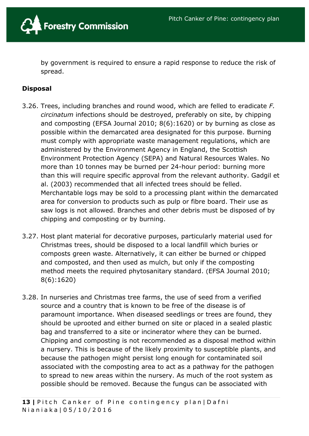

by government is required to ensure a rapid response to reduce the risk of spread.

#### **Disposal**

- 3.26. Trees, including branches and round wood, which are felled to eradicate *F. circinatum* infections should be destroyed, preferably on site, by chipping and composting (EFSA Journal 2010; 8(6):1620) or by burning as close as possible within the demarcated area designated for this purpose. Burning must comply with appropriate waste management regulations, which are administered by the Environment Agency in England, the Scottish Environment Protection Agency (SEPA) and Natural Resources Wales. No more than 10 tonnes may be burned per 24-hour period: burning more than this will require specific approval from the relevant authority. Gadgil et al. (2003) recommended that all infected trees should be felled. Merchantable logs may be sold to a processing plant within the demarcated area for conversion to products such as pulp or fibre board. Their use as saw logs is not allowed. Branches and other debris must be disposed of by chipping and composting or by burning.
- 3.27. Host plant material for decorative purposes, particularly material used for Christmas trees, should be disposed to a local landfill which buries or composts green waste. Alternatively, it can either be burned or chipped and composted, and then used as mulch, but only if the composting method meets the required phytosanitary standard. (EFSA Journal 2010; 8(6):1620)
- 3.28. In nurseries and Christmas tree farms, the use of seed from a verified source and a country that is known to be free of the disease is of paramount importance. When diseased seedlings or trees are found, they should be uprooted and either burned on site or placed in a sealed plastic bag and transferred to a site or incinerator where they can be burned. Chipping and composting is not recommended as a disposal method within a nursery. This is because of the likely proximity to susceptible plants, and because the pathogen might persist long enough for contaminated soil associated with the composting area to act as a pathway for the pathogen to spread to new areas within the nursery. As much of the root system as possible should be removed. Because the fungus can be associated with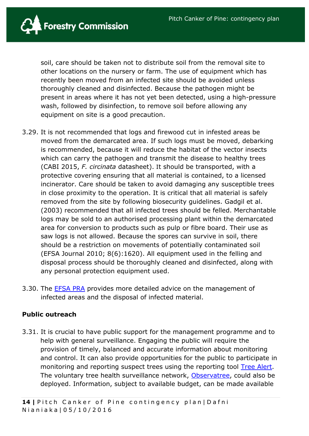

soil, care should be taken not to distribute soil from the removal site to other locations on the nursery or farm. The use of equipment which has recently been moved from an infected site should be avoided unless thoroughly cleaned and disinfected. Because the pathogen might be present in areas where it has not yet been detected, using a high-pressure wash, followed by disinfection, to remove soil before allowing any equipment on site is a good precaution.

- 3.29. It is not recommended that logs and firewood cut in infested areas be moved from the demarcated area. If such logs must be moved, debarking is recommended, because it will reduce the habitat of the vector insects which can carry the pathogen and transmit the disease to healthy trees (CABI 2015, *F. circinata* datasheet). It should be transported, with a protective covering ensuring that all material is contained, to a licensed incinerator. Care should be taken to avoid damaging any susceptible trees in close proximity to the operation. It is critical that all material is safely removed from the site by following biosecurity guidelines. Gadgil et al. (2003) recommended that all infected trees should be felled. Merchantable logs may be sold to an authorised processing plant within the demarcated area for conversion to products such as pulp or fibre board. Their use as saw logs is not allowed. Because the spores can survive in soil, there should be a restriction on movements of potentially contaminated soil (EFSA Journal 2010; 8(6):1620). All equipment used in the felling and disposal process should be thoroughly cleaned and disinfected, along with any personal protection equipment used.
- 3.30. The [EFSA PRA](file://///fcshsv1/Plant%20Health$/Plant%20Health%20&%20Biosecurity/Plant%20Health/Project%20work/Contingency%20planning/10.%20Fusarium%20circinatum/EFSA%20Pest%20Risk%20Analysis.pdf) provides more detailed advice on the management of infected areas and the disposal of infected material.

#### **Public outreach**

3.31. It is crucial to have public support for the management programme and to help with general surveillance. Engaging the public will require the provision of timely, balanced and accurate information about monitoring and control. It can also provide opportunities for the public to participate in monitoring and reporting suspect trees using the reporting tool Tree [Alert.](http://treealert.forestry.gov.uk/) The voluntary tree health surveillance network, [Observatree,](http://www.observatree.org.uk/) could also be deployed. Information, subject to available budget, can be made available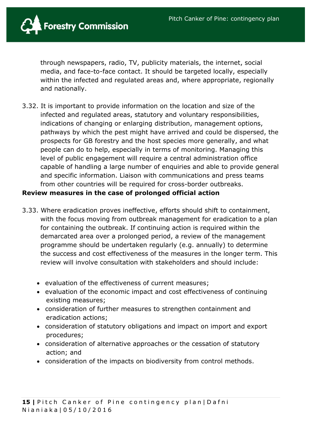

through newspapers, radio, TV, publicity materials, the internet, social media, and face-to-face contact. It should be targeted locally, especially within the infected and regulated areas and, where appropriate, regionally and nationally.

3.32. It is important to provide information on the location and size of the infected and regulated areas, statutory and voluntary responsibilities, indications of changing or enlarging distribution, management options, pathways by which the pest might have arrived and could be dispersed, the prospects for GB forestry and the host species more generally, and what people can do to help, especially in terms of monitoring. Managing this level of public engagement will require a central administration office capable of handling a large number of enquiries and able to provide general and specific information. Liaison with communications and press teams from other countries will be required for cross-border outbreaks.

#### **Review measures in the case of prolonged official action**

- 3.33. Where eradication proves ineffective, efforts should shift to containment, with the focus moving from outbreak management for eradication to a plan for containing the outbreak. If continuing action is required within the demarcated area over a prolonged period, a review of the management programme should be undertaken regularly (e.g. annually) to determine the success and cost effectiveness of the measures in the longer term. This review will involve consultation with stakeholders and should include:
	- evaluation of the effectiveness of current measures;
	- evaluation of the economic impact and cost effectiveness of continuing existing measures;
	- consideration of further measures to strengthen containment and eradication actions;
	- consideration of statutory obligations and impact on import and export procedures;
	- consideration of alternative approaches or the cessation of statutory action; and
	- consideration of the impacts on biodiversity from control methods.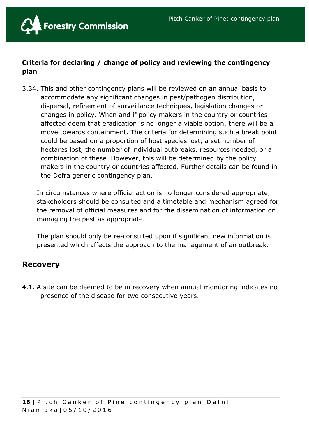

# **Criteria for declaring / change of policy and reviewing the contingency plan**

3.34. This and other contingency plans will be reviewed on an annual basis to accommodate any significant changes in pest/pathogen distribution, dispersal, refinement of surveillance techniques, legislation changes or changes in policy. When and if policy makers in the country or countries affected deem that eradication is no longer a viable option, there will be a move towards containment. The criteria for determining such a break point could be based on a proportion of host species lost, a set number of hectares lost, the number of individual outbreaks, resources needed, or a combination of these. However, this will be determined by the policy makers in the country or countries affected. Further details can be found in the Defra generic contingency plan.

In circumstances where official action is no longer considered appropriate, stakeholders should be consulted and a timetable and mechanism agreed for the removal of official measures and for the dissemination of information on managing the pest as appropriate.

The plan should only be re-consulted upon if significant new information is presented which affects the approach to the management of an outbreak.

# **Recovery**

4.1. A site can be deemed to be in recovery when annual monitoring indicates no presence of the disease for two consecutive years.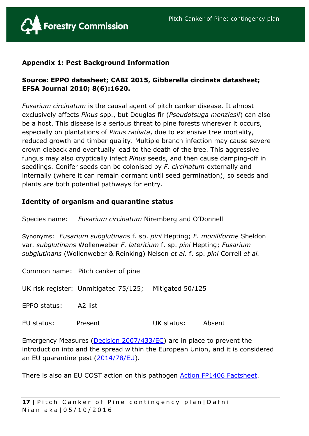

#### **Appendix 1: Pest Background Information**

# **Source: EPPO datasheet; CABI 2015, Gibberella circinata datasheet; EFSA Journal 2010; 8(6):1620.**

*Fusarium circinatum* is the causal agent of pitch canker disease. It almost exclusively affects *Pinus* spp., but Douglas fir (*Pseudotsuga menziesii*) can also be a host. This disease is a serious threat to pine forests wherever it occurs, especially on plantations of *Pinus radiata*, due to extensive tree mortality, reduced growth and timber quality. Multiple branch infection may cause severe crown dieback and eventually lead to the death of the tree. This aggressive fungus may also cryptically infect *Pinus* seeds, and then cause damping-off in seedlings. Conifer seeds can be colonised by *F. circinatum* externally and internally (where it can remain dormant until seed germination), so seeds and plants are both potential pathways for entry.

#### **Identity of organism and quarantine status**

Species name: *Fusarium circinatum* Niremberg and O'Donnell

Synonyms: *Fusarium subglutinans* f. sp. *pini* Hepting; *F. moniliforme* Sheldon var*. subglutinans* Wollenweber *F. lateritium* f. sp. *pini* Hepting; *Fusarium subglutinans* (Wollenweber & Reinking) Nelson *et al.* f. sp. *pini* Correll *et al.*

Common name: Pitch canker of pine

UK risk register: Unmitigated 75/125; Mitigated 50/125

EPPO status: A2 list

EU status: Present UK status: Absent

Emergency Measures [\(Decision 2007/433/EC\)](http://eur-lex.europa.eu/LexUriServ/LexUriServ.do?uri=OJ:L:2007:161:0066:0069:EN:PDF) are in place to prevent the introduction into and the spread within the European Union, and it is considered an EU quarantine pest [\(2014/78/EU\)](http://eur-lex.europa.eu/legal-content/EN/TXT/?uri=celex:32014L0078).

There is also an EU COST action on this pathogen **Action FP1406 Factsheet**.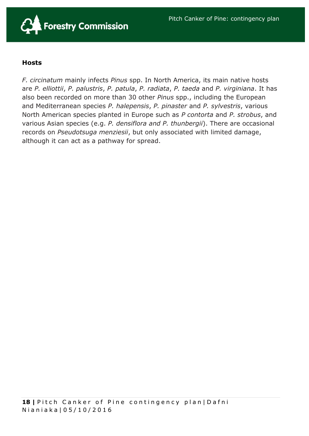

#### **Hosts**

*F. circinatum* mainly infects *Pinus* spp. In North America, its main native hosts are *P. elliottii*, *P. palustris*, *P. patula*, *P. radiata*, *P. taeda* and *P. virginiana*. It has also been recorded on more than 30 other *Pinus* spp., including the European and Mediterranean species *P. halepensis*, *P. pinaster* and *P. sylvestris*, various North American species planted in Europe such as *P contorta* and *P. strobus*, and various Asian species (e.g. *P. densiflora and P. thunbergii*). There are occasional records on *Pseudotsuga menziesii*, but only associated with limited damage, although it can act as a pathway for spread.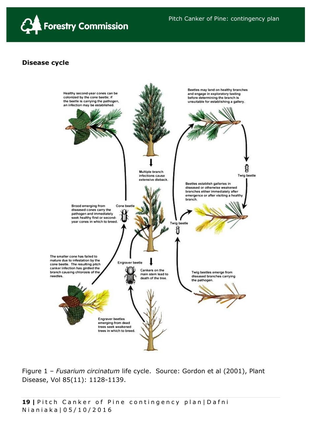

#### **Disease cycle**



Figure 1 – *Fusarium circinatum* life cycle. Source: Gordon et al (2001), Plant Disease, Vol 85(11): 1128-1139.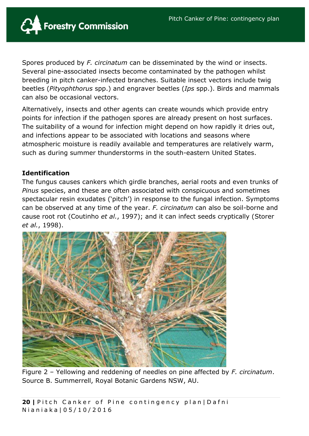

Spores produced by *F. circinatum* can be disseminated by the wind or insects. Several pine-associated insects become contaminated by the pathogen whilst breeding in pitch canker-infected branches. Suitable insect vectors include twig beetles (*Pityophthorus* spp.) and engraver beetles (*Ips* spp.). Birds and mammals can also be occasional vectors.

Alternatively, insects and other agents can create wounds which provide entry points for infection if the pathogen spores are already present on host surfaces. The suitability of a wound for infection might depend on how rapidly it dries out, and infections appear to be associated with locations and seasons where atmospheric moisture is readily available and temperatures are relatively warm, such as during summer thunderstorms in the south-eastern United States.

#### **Identification**

The fungus causes cankers which girdle branches, aerial roots and even trunks of *Pinus* species, and these are often associated with conspicuous and sometimes spectacular resin exudates ('pitch') in response to the fungal infection. Symptoms can be observed at any time of the year. *F. circinatum* can also be soil-borne and cause root rot [\(Coutinho](http://onlinelibrary.wiley.com/doi/10.1111/j.1365-2338.2009.02317.x/full#b6) *et al.*, 1997); and it can infect seeds cryptically [\(Storer](http://onlinelibrary.wiley.com/doi/10.1111/j.1365-2338.2009.02317.x/full#b27)  *et al.*[, 1998\)](http://onlinelibrary.wiley.com/doi/10.1111/j.1365-2338.2009.02317.x/full#b27).



Figure 2 – Yellowing and reddening of needles on pine affected by *F. circinatum*. Source B. Summerrell, Royal Botanic Gardens NSW, AU.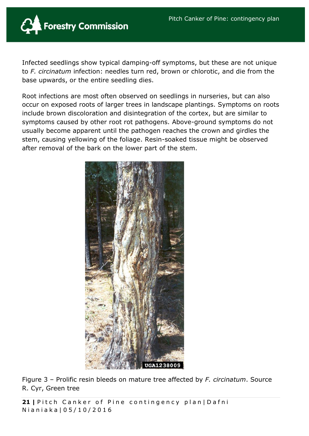![](_page_20_Picture_1.jpeg)

Infected seedlings show typical damping-off symptoms, but these are not unique to *F. circinatum* infection: needles turn red, brown or chlorotic, and die from the base upwards, or the entire seedling dies.

Root infections are most often observed on seedlings in nurseries, but can also occur on exposed roots of larger trees in landscape plantings. Symptoms on roots include brown discoloration and disintegration of the cortex, but are similar to symptoms caused by other root rot pathogens. Above-ground symptoms do not usually become apparent until the pathogen reaches the crown and girdles the stem, causing yellowing of the foliage. Resin-soaked tissue might be observed after removal of the bark on the lower part of the stem.

![](_page_20_Picture_4.jpeg)

Figure 3 – Prolific resin bleeds on mature tree affected by *F. circinatum*. Source R. Cyr, Green tree

21 | Pitch Canker of Pine contingency plan | Dafni N i a n i a k a | 0 5 / 1 0 / 2 0 1 6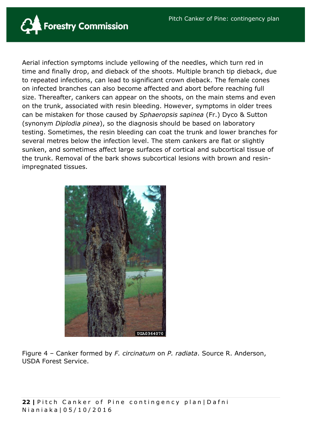![](_page_21_Picture_1.jpeg)

Aerial infection symptoms include yellowing of the needles, which turn red in time and finally drop, and dieback of the shoots. Multiple branch tip dieback, due to repeated infections, can lead to significant crown dieback. The female cones on infected branches can also become affected and abort before reaching full size. Thereafter, cankers can appear on the shoots, on the main stems and even on the trunk, associated with resin bleeding. However, symptoms in older trees can be mistaken for those caused by *Sphaeropsis sapinea* (Fr.) Dyco & Sutton (synonym *Diplodia pinea*), so the diagnosis should be based on laboratory testing. Sometimes, the resin bleeding can coat the trunk and lower branches for several metres below the infection level. The stem cankers are flat or slightly sunken, and sometimes affect large surfaces of cortical and subcortical tissue of the trunk. Removal of the bark shows subcortical lesions with brown and resinimpregnated tissues.

![](_page_21_Picture_3.jpeg)

Figure 4 – Canker formed by *F. circinatum* on *P. radiata*. Source R. Anderson, USDA Forest Service.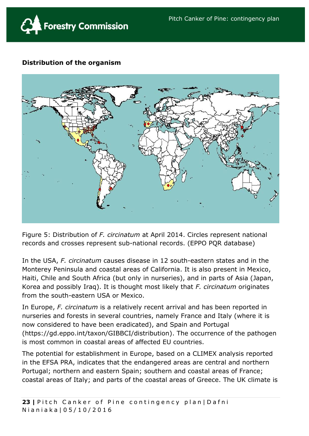![](_page_22_Picture_1.jpeg)

# **Distribution of the organism**

![](_page_22_Figure_3.jpeg)

Figure 5: Distribution of *F. circinatum* at April 2014. Circles represent national records and crosses represent sub-national records. (EPPO PQR database)

In the USA, *F. circinatum* causes disease in 12 south-eastern states and in the Monterey Peninsula and coastal areas of California. It is also present in Mexico, Haiti, Chile and South Africa (but only in nurseries), and in parts of Asia (Japan, Korea and possibly Iraq). It is thought most likely that *F. circinatum* originates from the south-eastern USA or Mexico.

In Europe, *F. circinatum* is a relatively recent arrival and has been reported in nurseries and forests in several countries, namely France and Italy (where it is now considered to have been eradicated), and Spain and Portugal (https://gd.eppo.int/taxon/GIBBCI/distribution). The occurrence of the pathogen is most common in coastal areas of affected EU countries.

The potential for establishment in Europe, based on a CLIMEX analysis reported in the EFSA PRA, indicates that the endangered areas are central and northern Portugal; northern and eastern Spain; southern and coastal areas of France; coastal areas of Italy; and parts of the coastal areas of Greece. The UK climate is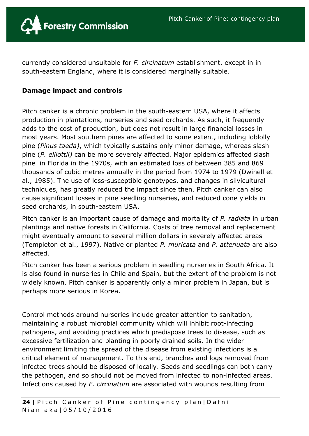![](_page_23_Picture_1.jpeg)

currently considered unsuitable for *F. circinatum* establishment, except in in south-eastern England, where it is considered marginally suitable.

## **Damage impact and controls**

Pitch canker is a chronic problem in the south-eastern USA, where it affects production in plantations, nurseries and seed orchards. As such, it frequently adds to the cost of production, but does not result in large financial losses in most years. Most southern pines are affected to some extent, including loblolly pine (*Pinus taeda)*, which typically sustains only minor damage, whereas slash pine (*P. elliottii)* can be more severely affected. Major epidemics affected slash pine in Florida in the 1970s, with an estimated loss of between 385 and 869 thousands of cubic metres annually in the period from 1974 to 1979 (Dwinell et al., 1985). The use of less-susceptible genotypes, and changes in silvicultural techniques, has greatly reduced the impact since then. Pitch canker can also cause significant losses in pine seedling nurseries, and reduced cone yields in seed orchards, in south-eastern USA.

Pitch canker is an important cause of damage and mortality of *P. radiata* in urban plantings and native forests in California. Costs of tree removal and replacement might eventually amount to several million dollars in severely affected areas (Templeton et al., 1997). Native or planted *P. muricata* and *P. attenuata* are also affected.

Pitch canker has been a serious problem in seedling nurseries in South Africa. It is also found in nurseries in Chile and Spain, but the extent of the problem is not widely known. Pitch canker is apparently only a minor problem in Japan, but is perhaps more serious in Korea.

Control methods around nurseries include greater attention to sanitation, maintaining a robust microbial community which will inhibit root-infecting pathogens, and avoiding practices which predispose trees to disease, such as excessive fertilization and planting in poorly drained soils. In the wider environment limiting the spread of the disease from existing infections is a critical element of management. To this end, branches and logs removed from infected trees should be disposed of locally. Seeds and seedlings can both carry the pathogen, and so should not be moved from infected to non-infected areas. Infections caused by *F. circinatum* are associated with wounds resulting from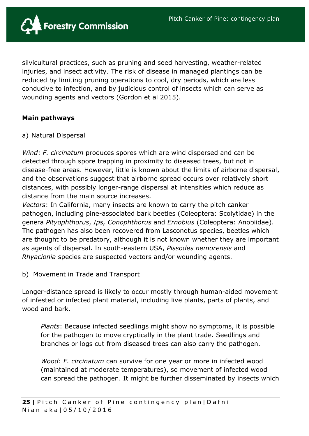![](_page_24_Picture_1.jpeg)

silvicultural practices, such as pruning and seed harvesting, weather-related injuries, and insect activity. The risk of disease in managed plantings can be reduced by limiting pruning operations to cool, dry periods, which are less conducive to infection, and by judicious control of insects which can serve as wounding agents and vectors (Gordon et al 2015).

#### **Main pathways**

#### a) Natural Dispersal

*Wind*: *F. circinatum* produces spores which are wind dispersed and can be detected through spore trapping in proximity to diseased trees, but not in disease-free areas. However, little is known about the limits of airborne dispersal, and the observations suggest that airborne spread occurs over relatively short distances, with possibly longer-range dispersal at intensities which reduce as distance from the main source increases.

*Vectors*: In California, many insects are known to carry the pitch canker pathogen, including pine-associated bark beetles (Coleoptera: Scolytidae) in the genera *Pityophthorus*, *Ips, Conophthorus* and *Ernobius* (Coleoptera: Anobiidae). The pathogen has also been recovered from Lasconotus species, beetles which are thought to be predatory, although it is not known whether they are important as agents of dispersal. In south-eastern USA, *Pissodes nemorensis* and *Rhyacionia* species are suspected vectors and/or wounding agents.

#### b) Movement in Trade and Transport

Longer-distance spread is likely to occur mostly through human-aided movement of infested or infected plant material, including live plants, parts of plants, and wood and bark.

*Plants*: Because infected seedlings might show no symptoms, it is possible for the pathogen to move cryptically in the plant trade. Seedlings and branches or logs cut from diseased trees can also carry the pathogen.

*Wood*: *F. circinatum* can survive for one year or more in infected wood (maintained at moderate temperatures), so movement of infected wood can spread the pathogen. It might be further disseminated by insects which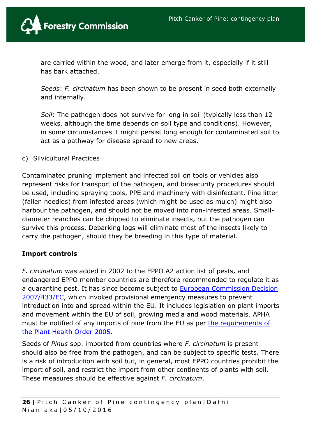![](_page_25_Picture_1.jpeg)

are carried within the wood, and later emerge from it, especially if it still has bark attached.

*Seeds*: *F. circinatum* has been shown to be present in seed both externally and internally.

*Soil*: The pathogen does not survive for long in soil (typically less than 12 weeks, although the time depends on soil type and conditions). However, in some circumstances it might persist long enough for contaminated soil to act as a pathway for disease spread to new areas.

#### c) Silvicultural Practices

Contaminated pruning implement and infected soil on tools or vehicles also represent risks for transport of the pathogen, and biosecurity procedures should be used, including spraying tools, PPE and machinery with disinfectant. Pine litter (fallen needles) from infested areas (which might be used as mulch) might also harbour the pathogen, and should not be moved into non-infested areas. Smalldiameter branches can be chipped to eliminate insects, but the pathogen can survive this process. Debarking logs will eliminate most of the insects likely to carry the pathogen, should they be breeding in this type of material.

## **Import controls**

*F. circinatum* was added in 2002 to the EPPO A2 action list of pests, and endangered EPPO member countries are therefore recommended to regulate it as a quarantine pest. It has since become subject to **European Commission Decision** [2007/433/EC,](http://eur-lex.europa.eu/LexUriServ/LexUriServ.do?uri=OJ:L:2007:161:0066:0069:EN:PDF) which invoked provisional emergency measures to prevent introduction into and spread within the EU. It includes legislation on plant imports and movement within the EU of soil, growing media and wood materials. APHA must be notified of any imports of pine from the EU as per [the requirements of](https://www.gov.uk/guidance/importing-trees-and-plants-to-england-and-wales-from-the-eu)  [the Plant Health Order 2005.](https://www.gov.uk/guidance/importing-trees-and-plants-to-england-and-wales-from-the-eu)

Seeds of *Pinus* spp. imported from countries where *F. circinatum* is present should also be free from the pathogen, and can be subject to specific tests. There is a risk of introduction with soil but, in general, most EPPO countries prohibit the import of soil, and restrict the import from other continents of plants with soil. These measures should be effective against *F. circinatum*.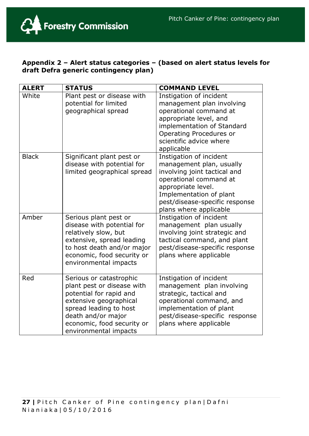![](_page_26_Picture_1.jpeg)

## **Appendix 2 – Alert status categories – (based on alert status levels for draft Defra generic contingency plan)**

| <b>ALERT</b> | <b>STATUS</b>                                                                                                                                                                                                     | <b>COMMAND LEVEL</b>                                                                                                                                                                                                       |
|--------------|-------------------------------------------------------------------------------------------------------------------------------------------------------------------------------------------------------------------|----------------------------------------------------------------------------------------------------------------------------------------------------------------------------------------------------------------------------|
| White        | Plant pest or disease with<br>potential for limited<br>geographical spread                                                                                                                                        | Instigation of incident<br>management plan involving<br>operational command at<br>appropriate level, and<br>implementation of Standard<br>Operating Procedures or<br>scientific advice where<br>applicable                 |
| <b>Black</b> | Significant plant pest or<br>disease with potential for<br>limited geographical spread                                                                                                                            | Instigation of incident<br>management plan, usually<br>involving joint tactical and<br>operational command at<br>appropriate level.<br>Implementation of plant<br>pest/disease-specific response<br>plans where applicable |
| Amber        | Serious plant pest or<br>disease with potential for<br>relatively slow, but<br>extensive, spread leading<br>to host death and/or major<br>economic, food security or<br>environmental impacts                     | Instigation of incident<br>management plan usually<br>involving joint strategic and<br>tactical command, and plant<br>pest/disease-specific response<br>plans where applicable                                             |
| Red          | Serious or catastrophic<br>plant pest or disease with<br>potential for rapid and<br>extensive geographical<br>spread leading to host<br>death and/or major<br>economic, food security or<br>environmental impacts | Instigation of incident<br>management plan involving<br>strategic, tactical and<br>operational command, and<br>implementation of plant<br>pest/disease-specific response<br>plans where applicable                         |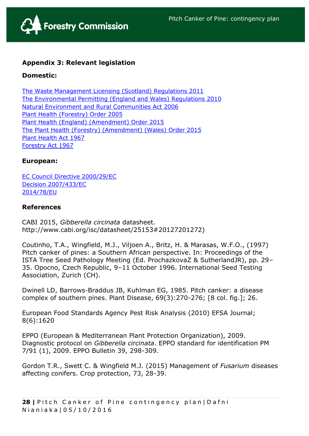![](_page_27_Picture_1.jpeg)

## **Appendix 3: Relevant legislation**

#### **Domestic:**

[The Waste Management Licensing \(Scotland\) Regulations 2011](http://www.legislation.gov.uk/ssi/2011/228/made) [The Environmental Permitting \(England and Wales\) Regulations 2010](http://www.legislation.gov.uk/uksi/2010/675/contents/made) [Natural Environment and Rural Communities Act 2006](http://www.legislation.gov.uk/ukpga/2006/16/contents) [Plant Health \(Forestry\) Order 2005](http://www.forestry.gov.uk/pdf/Final-unofficial-consolidated-PHFO-Nov2014.pdf/$FILE/Final-unofficial-consolidated-PHFO-Nov2014.pdf) [Plant Health \(England\) \(Amendment\) Order 2015](http://www.legislation.gov.uk/uksi/2015/1827/contents/made) [The Plant Health \(Forestry\) \(Amendment\) \(Wales\) Order 2015](http://www.legislation.gov.uk/wsi/2015/1723/contents/made) [Plant Health Act 1967](http://www.legislation.gov.uk/ukpga/1967/8/contents) [Forestry Act 1967](http://www.legislation.gov.uk/ukpga/1967/10/contents)

#### **European:**

[EC Council Directive 2000/29/EC](http://eur-lex.europa.eu/legal-content/EN/TXT/?qid=1422034625826&uri=CELEX:02000L0029-20140630) [Decision 2007/433/EC](http://eur-lex.europa.eu/LexUriServ/LexUriServ.do?uri=OJ:L:2007:161:0066:0069:EN:PDF) [2014/78/EU](http://eur-lex.europa.eu/legal-content/EN/TXT/?uri=celex:32014L0078)

#### **References**

CABI 2015, *Gibberella circinata* datasheet. http://www.cabi.org/isc/datasheet/25153#20127201272)

Coutinho, T.A., Wingfield, M.J., Viljoen A., Britz, H. & Marasas, W.F.O., (1997) Pitch canker of pines: a Southern African perspective. In: Proceedings of the ISTA Tree Seed Pathology Meeting (Ed. ProchazkovaZ & SutherlandJR), pp. 29– 35. Opocno, Czech Republic, 9–11 October 1996. International Seed Testing Association, Zurich (CH).

Dwinell LD, Barrows-Braddus JB, Kuhlman EG, 1985. Pitch canker: a disease complex of southern pines. Plant Disease, 69(3):270-276; [8 col. fig.]; 26.

European Food Standards Agency Pest Risk Analysis (2010) EFSA Journal; 8(6):1620

EPPO (European & Mediterranean Plant Protection Organization), 2009. Diagnostic protocol on *Gibberella circinata*. EPPO standard for identification PM 7/91 (1), 2009. EPPO Bulletin 39, 298-309.

Gordon T.R., Swett C. & Wingfield M.J. (2015) Management of *Fusarium* diseases affecting conifers. Crop protection, 73, 28-39.